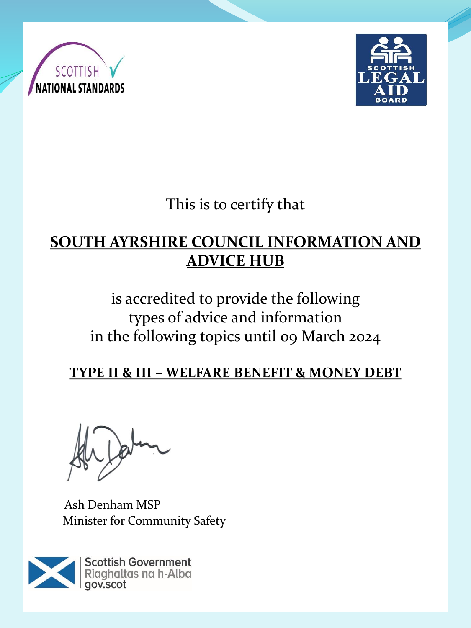



This is to certify that

## **SOUTH AYRSHIRE COUNCIL INFORMATION AND ADVICE HUB**

# is accredited to provide the following types of advice and information in the following topics until 09 March 2024

### **TYPE II & III – WELFARE BENEFIT & MONEY DEBT**

Ash Denham MSP Minister for Community Safety

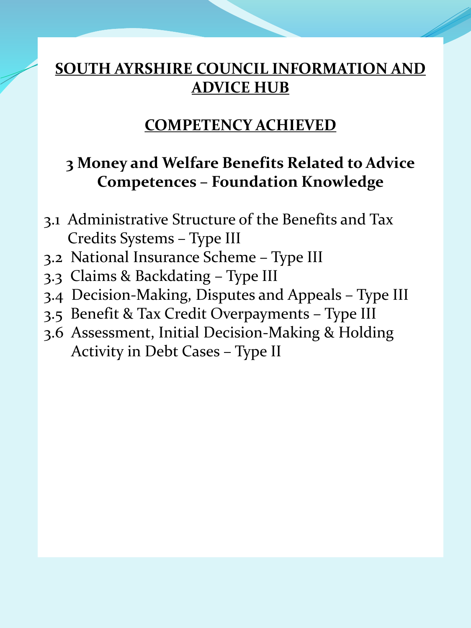### **SOUTH AYRSHIRE COUNCIL INFORMATION AND ADVICE HUB**

#### **COMPETENCY ACHIEVED**

#### **3 Money and Welfare Benefits Related to Advice Competences – Foundation Knowledge**

- 3.1 Administrative Structure of the Benefits and Tax Credits Systems – Type III
- 3.2 National Insurance Scheme Type III
- 3.3 Claims & Backdating Type III
- 3.4 Decision-Making, Disputes and Appeals Type III
- 3.5 Benefit & Tax Credit Overpayments Type III
- 3.6 Assessment, Initial Decision-Making & Holding Activity in Debt Cases – Type II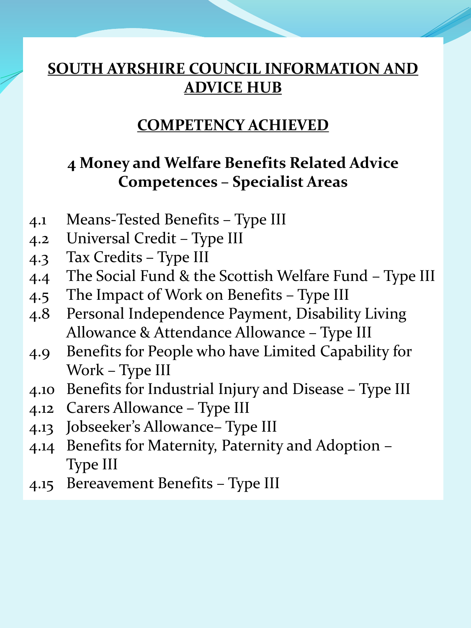### **SOUTH AYRSHIRE COUNCIL INFORMATION AND ADVICE HUB**

#### **COMPETENCY ACHIEVED**

### **4 Money and Welfare Benefits Related Advice Competences – Specialist Areas**

- 4.1 Means-Tested Benefits Type III
- 4.2 Universal Credit Type III
- 4.3 Tax Credits Type III
- 4.4 The Social Fund & the Scottish Welfare Fund Type III
- 4.5 The Impact of Work on Benefits Type III
- 4.8 Personal Independence Payment, Disability Living Allowance & Attendance Allowance – Type III
- 4.9 Benefits for People who have Limited Capability for Work – Type III
- 4.10 Benefits for Industrial Injury and Disease Type III
- 4.12 Carers Allowance Type III
- 4.13 Jobseeker's Allowance– Type III
- 4.14 Benefits for Maternity, Paternity and Adoption Type III
- 4.15 Bereavement Benefits Type III